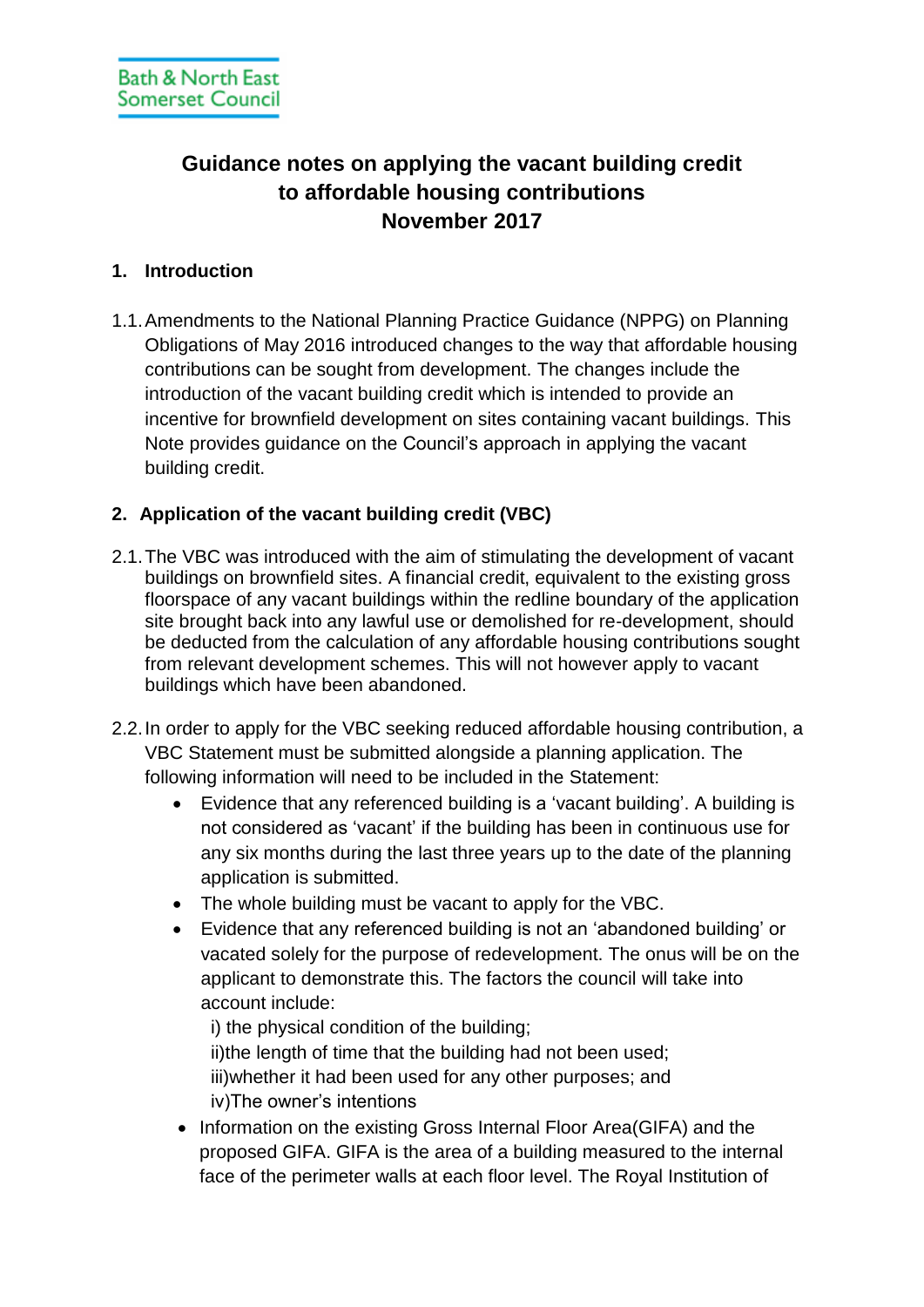# **Guidance notes on applying the vacant building credit to affordable housing contributions November 2017**

## **1. Introduction**

1.1.Amendments to the National Planning Practice Guidance (NPPG) on Planning Obligations of May 2016 introduced changes to the way that affordable housing contributions can be sought from development. The changes include the introduction of the vacant building credit which is intended to provide an incentive for brownfield development on sites containing vacant buildings. This Note provides guidance on the Council's approach in applying the vacant building credit.

# **2. Application of the vacant building credit (VBC)**

- 2.1.The VBC was introduced with the aim of stimulating the development of vacant buildings on brownfield sites. A financial credit, equivalent to the existing gross floorspace of any vacant buildings within the redline boundary of the application site brought back into any lawful use or demolished for re-development, should be deducted from the calculation of any affordable housing contributions sought from relevant development schemes. This will not however apply to vacant buildings which have been abandoned.
- 2.2.In order to apply for the VBC seeking reduced affordable housing contribution, a VBC Statement must be submitted alongside a planning application. The following information will need to be included in the Statement:
	- Evidence that any referenced building is a 'vacant building'. A building is not considered as 'vacant' if the building has been in continuous use for any six months during the last three years up to the date of the planning application is submitted.
	- The whole building must be vacant to apply for the VBC.
	- Evidence that any referenced building is not an 'abandoned building' or vacated solely for the purpose of redevelopment. The onus will be on the applicant to demonstrate this. The factors the council will take into account include:

i) the physical condition of the building; ii)the length of time that the building had not been used; iii)whether it had been used for any other purposes; and iv)The owner's intentions

• Information on the existing Gross Internal Floor Area(GIFA) and the proposed GIFA. GIFA is the area of a building measured to the internal face of the perimeter walls at each floor level. The Royal Institution of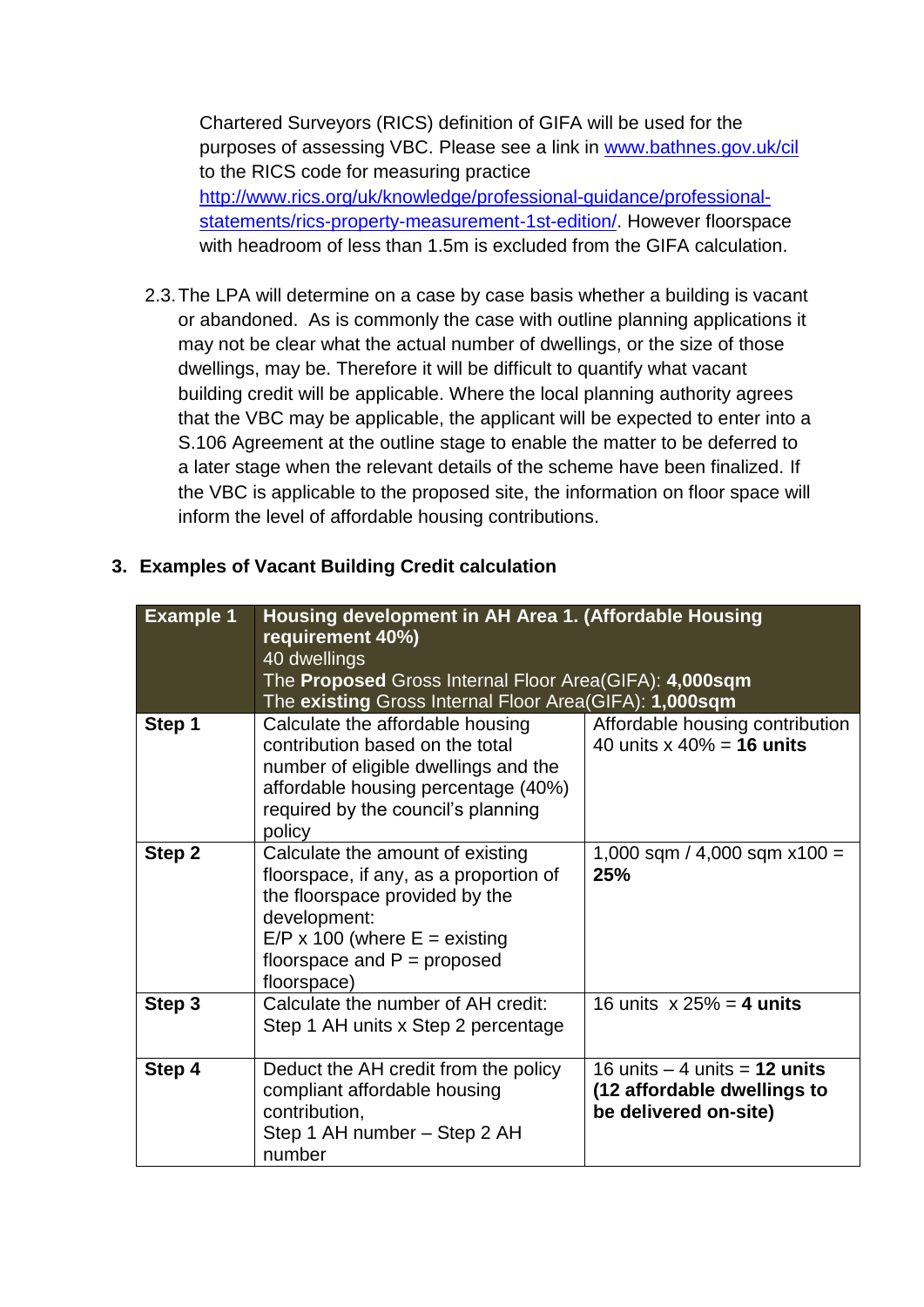Chartered Surveyors (RICS) definition of GIFA will be used for the purposes of assessing VBC. Please see a link in [www.bathnes.gov.uk/cil](http://www.bathnes.gov.uk/cil) to the RICS code for measuring practice [http://www.rics.org/uk/knowledge/professional-guidance/professional](http://www.rics.org/uk/knowledge/professional-guidance/professional-statements/rics-property-measurement-1st-edition/)[statements/rics-property-measurement-1st-edition/.](http://www.rics.org/uk/knowledge/professional-guidance/professional-statements/rics-property-measurement-1st-edition/) However floorspace with headroom of less than 1.5m is excluded from the GIFA calculation.

2.3.The LPA will determine on a case by case basis whether a building is vacant or abandoned. As is commonly the case with outline planning applications it may not be clear what the actual number of dwellings, or the size of those dwellings, may be. Therefore it will be difficult to quantify what vacant building credit will be applicable. Where the local planning authority agrees that the VBC may be applicable, the applicant will be expected to enter into a S.106 Agreement at the outline stage to enable the matter to be deferred to a later stage when the relevant details of the scheme have been finalized. If the VBC is applicable to the proposed site, the information on floor space will inform the level of affordable housing contributions.

### **3. Examples of Vacant Building Credit calculation**

| <b>Example</b> 1 | Housing development in AH Area 1. (Affordable Housing<br>requirement 40%) |                                                                  |  |  |
|------------------|---------------------------------------------------------------------------|------------------------------------------------------------------|--|--|
|                  | 40 dwellings                                                              |                                                                  |  |  |
|                  | The Proposed Gross Internal Floor Area(GIFA): 4,000sqm                    |                                                                  |  |  |
|                  | The existing Gross Internal Floor Area(GIFA): 1,000sqm                    |                                                                  |  |  |
| Step 1           | Calculate the affordable housing<br>contribution based on the total       | Affordable housing contribution<br>40 units $x\ 40\% = 16$ units |  |  |
|                  |                                                                           |                                                                  |  |  |
|                  | number of eligible dwellings and the                                      |                                                                  |  |  |
|                  | affordable housing percentage (40%)                                       |                                                                  |  |  |
|                  | required by the council's planning                                        |                                                                  |  |  |
|                  | policy                                                                    |                                                                  |  |  |
| Step 2           | Calculate the amount of existing                                          | 1,000 sqm / 4,000 sqm $x100 =$<br>25%                            |  |  |
|                  | floorspace, if any, as a proportion of                                    |                                                                  |  |  |
|                  | the floorspace provided by the                                            |                                                                  |  |  |
|                  | development:                                                              |                                                                  |  |  |
|                  | $E/P \times 100$ (where $E =$ existing                                    |                                                                  |  |  |
|                  | floorspace and $P =$ proposed                                             |                                                                  |  |  |
|                  | floorspace)                                                               |                                                                  |  |  |
| Step 3           | Calculate the number of AH credit:                                        | 16 units $x 25% = 4$ units                                       |  |  |
|                  | Step 1 AH units x Step 2 percentage                                       |                                                                  |  |  |
|                  |                                                                           |                                                                  |  |  |
| Step 4           | Deduct the AH credit from the policy                                      | 16 units $-4$ units = 12 units                                   |  |  |
|                  | compliant affordable housing                                              | (12 affordable dwellings to                                      |  |  |
|                  | contribution,                                                             | be delivered on-site)                                            |  |  |
|                  | Step 1 AH number - Step 2 AH                                              |                                                                  |  |  |
|                  | number                                                                    |                                                                  |  |  |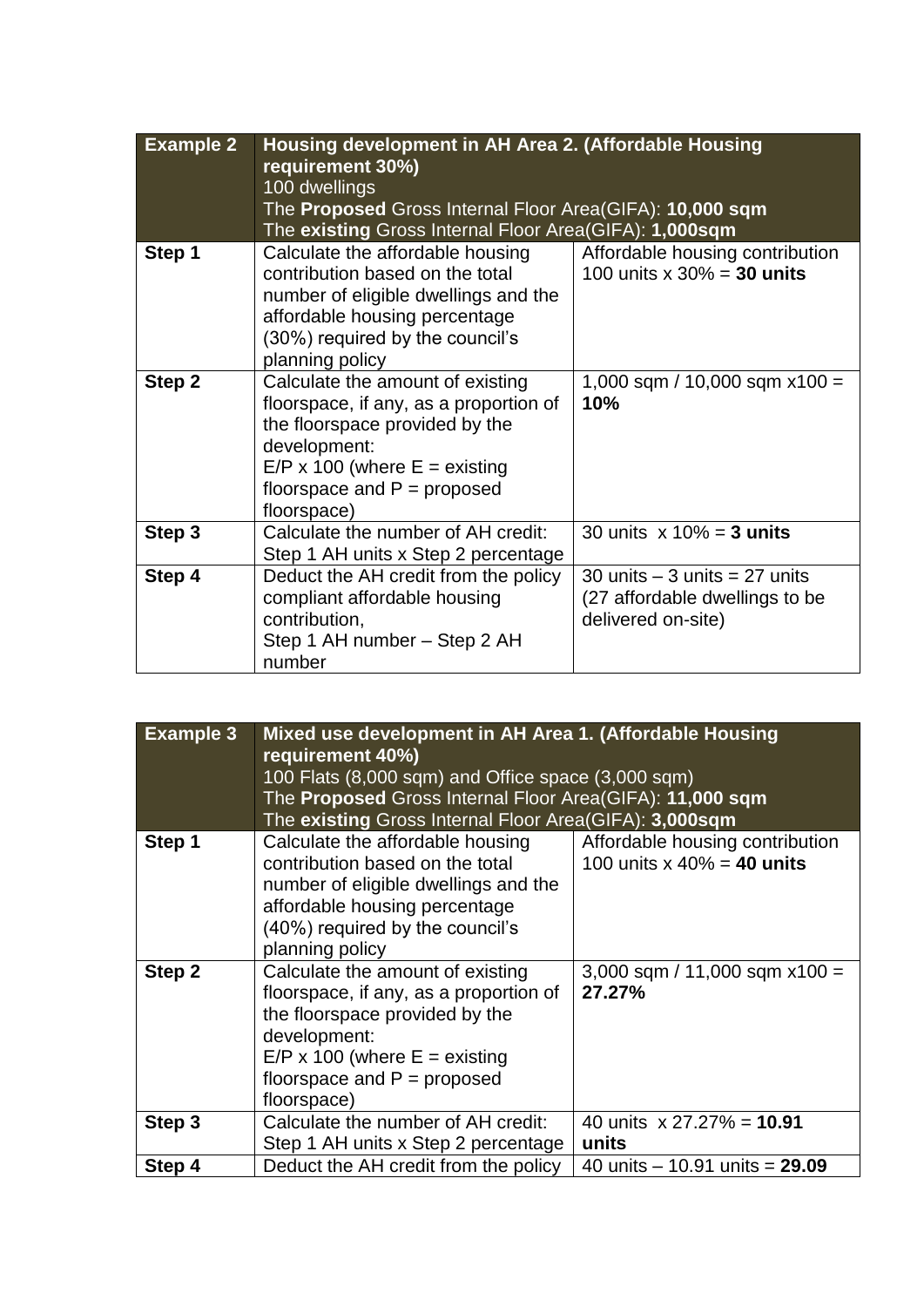| <b>Example 2</b> | Housing development in AH Area 2. (Affordable Housing<br>requirement 30%)<br>100 dwellings<br>The <b>Proposed</b> Gross Internal Floor Area(GIFA): <b>10,000 sqm</b><br>The existing Gross Internal Floor Area(GIFA): 1,000sqm |                                                                                           |  |
|------------------|--------------------------------------------------------------------------------------------------------------------------------------------------------------------------------------------------------------------------------|-------------------------------------------------------------------------------------------|--|
| Step 1           | Calculate the affordable housing<br>contribution based on the total<br>number of eligible dwellings and the<br>affordable housing percentage<br>(30%) required by the council's<br>planning policy                             | Affordable housing contribution<br>100 units $x 30\% = 30$ units                          |  |
| Step 2           | Calculate the amount of existing<br>floorspace, if any, as a proportion of<br>the floorspace provided by the<br>development:<br>$E/P \times 100$ (where $E =$ existing<br>floorspace and $P =$ proposed<br>floorspace)         | 1,000 sqm / 10,000 sqm $x100 =$<br>10%                                                    |  |
| Step 3           | Calculate the number of AH credit:<br>Step 1 AH units x Step 2 percentage                                                                                                                                                      | 30 units $x 10\% = 3$ units                                                               |  |
| Step 4           | Deduct the AH credit from the policy<br>compliant affordable housing<br>contribution,<br>Step 1 AH number - Step 2 AH<br>number                                                                                                | 30 units $-$ 3 units $=$ 27 units<br>(27 affordable dwellings to be<br>delivered on-site) |  |

| <b>Example 3</b> | Mixed use development in AH Area 1. (Affordable Housing<br>requirement 40%)<br>100 Flats (8,000 sqm) and Office space (3,000 sqm)<br>The Proposed Gross Internal Floor Area(GIFA): 11,000 sqm<br>The existing Gross Internal Floor Area(GIFA): 3,000sqm |                                                                   |  |
|------------------|---------------------------------------------------------------------------------------------------------------------------------------------------------------------------------------------------------------------------------------------------------|-------------------------------------------------------------------|--|
| Step 1           | Calculate the affordable housing<br>contribution based on the total<br>number of eligible dwellings and the<br>affordable housing percentage<br>(40%) required by the council's<br>planning policy                                                      | Affordable housing contribution<br>100 units $x\ 40\% = 40$ units |  |
| Step 2           | Calculate the amount of existing<br>floorspace, if any, as a proportion of<br>the floorspace provided by the<br>development:<br>$E/P$ x 100 (where $E =$ existing<br>floorspace and $P =$ proposed<br>floorspace)                                       | $3,000$ sqm / 11,000 sqm x100 =<br>27.27%                         |  |
| Step 3           | Calculate the number of AH credit:<br>Step 1 AH units x Step 2 percentage                                                                                                                                                                               | 40 units $\times$ 27.27% = 10.91<br>units                         |  |
| Step 4           | Deduct the AH credit from the policy                                                                                                                                                                                                                    | 40 units $-$ 10.91 units = 29.09                                  |  |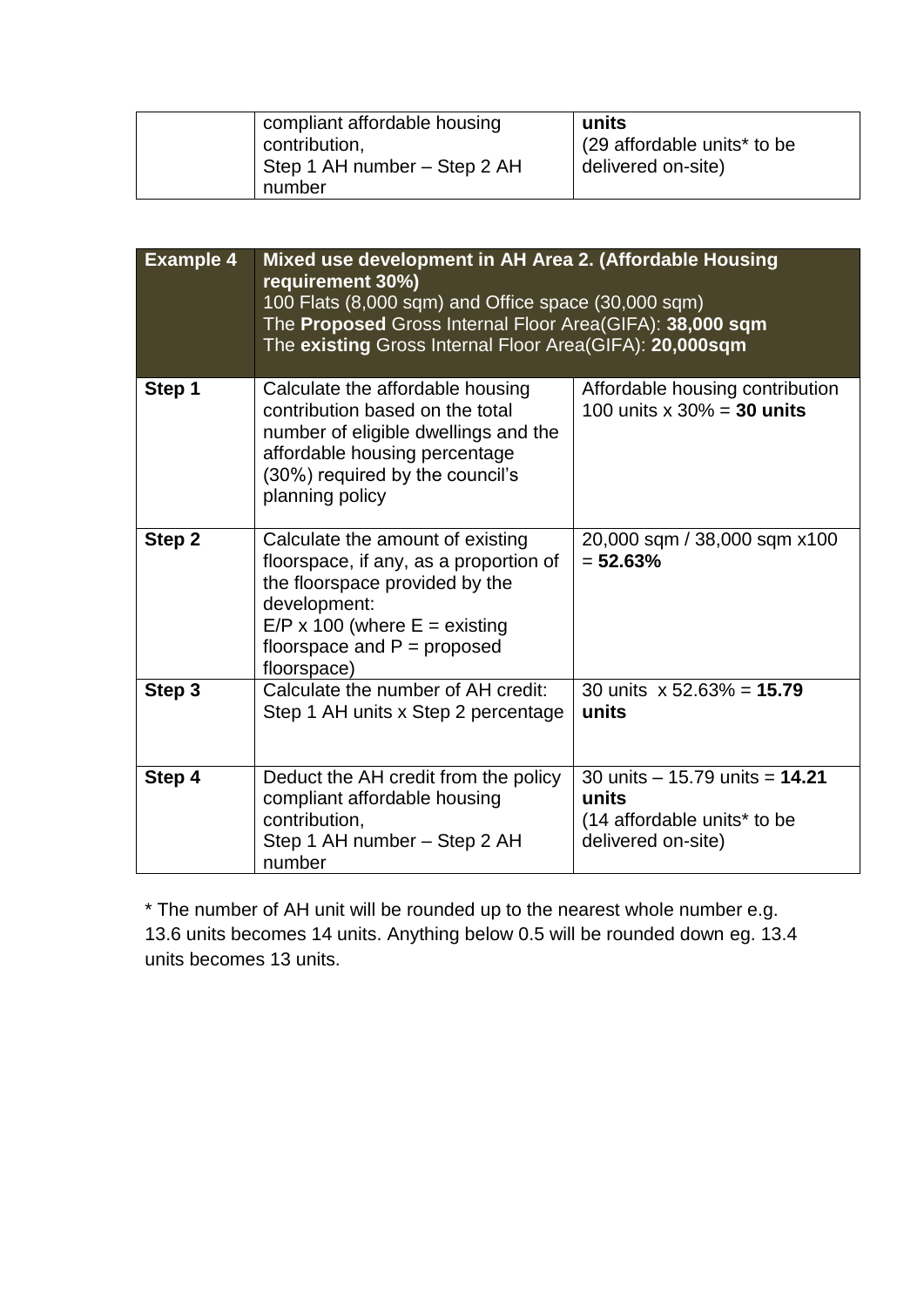| compliant affordable housing | units                                   |
|------------------------------|-----------------------------------------|
| contribution,                | (29 affordable units <sup>*</sup> to be |
| Step 1 AH number - Step 2 AH | delivered on-site)                      |
| number                       |                                         |

| <b>Example 4</b> | Mixed use development in AH Area 2. (Affordable Housing<br>requirement 30%)<br>100 Flats (8,000 sqm) and Office space (30,000 sqm)<br>The Proposed Gross Internal Floor Area(GIFA): 38,000 sqm<br>The existing Gross Internal Floor Area(GIFA): 20,000sqm |                                                                                                  |  |
|------------------|-----------------------------------------------------------------------------------------------------------------------------------------------------------------------------------------------------------------------------------------------------------|--------------------------------------------------------------------------------------------------|--|
| Step 1           | Calculate the affordable housing<br>contribution based on the total<br>number of eligible dwellings and the<br>affordable housing percentage<br>(30%) required by the council's<br>planning policy                                                        | Affordable housing contribution<br>100 units $x \times 30\% = 30$ units                          |  |
| Step 2           | Calculate the amount of existing<br>floorspace, if any, as a proportion of<br>the floorspace provided by the<br>development:<br>$E/P$ x 100 (where $E =$ existing<br>floorspace and $P =$ proposed<br>floorspace)                                         | 20,000 sqm / 38,000 sqm x100<br>$= 52.63%$                                                       |  |
| Step 3           | Calculate the number of AH credit:<br>Step 1 AH units x Step 2 percentage                                                                                                                                                                                 | 30 units $x 52.63\% = 15.79$<br>units                                                            |  |
| Step 4           | Deduct the AH credit from the policy<br>compliant affordable housing<br>contribution,<br>Step 1 AH number - Step 2 AH<br>number                                                                                                                           | 30 units $-$ 15.79 units $=$ 14.21<br>units<br>(14 affordable units* to be<br>delivered on-site) |  |

\* The number of AH unit will be rounded up to the nearest whole number e.g. 13.6 units becomes 14 units. Anything below 0.5 will be rounded down eg. 13.4 units becomes 13 units.